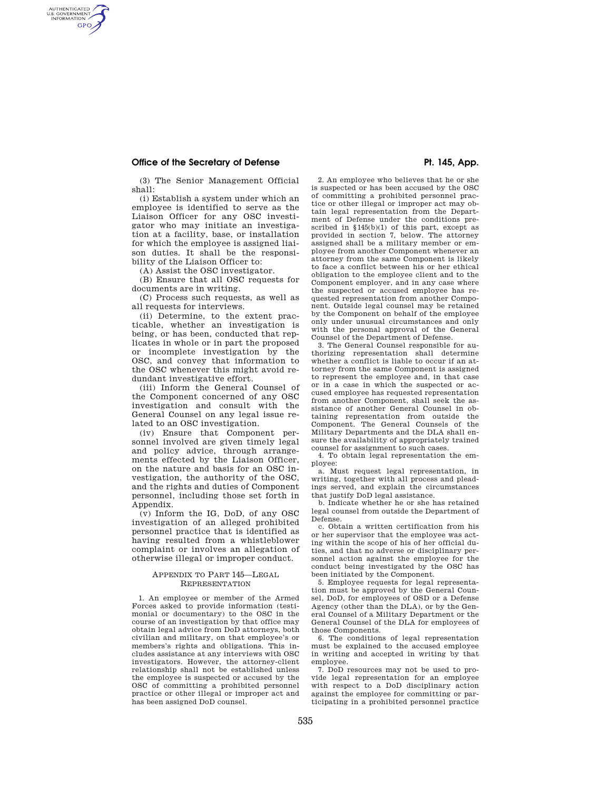## Office of the Secretary of Defense **Philipps Pt. 145, App. Pt. 145, App.**

AUTHENTICATED<br>U.S. GOVERNMENT<br>INFORMATION **GPO** 

> (3) The Senior Management Official shall:

> (i) Establish a system under which an employee is identified to serve as the Liaison Officer for any OSC investigator who may initiate an investigation at a facility, base, or installation for which the employee is assigned liaison duties. It shall be the responsibility of the Liaison Officer to:

(A) Assist the OSC investigator.

(B) Ensure that all OSC requests for documents are in writing.

(C) Process such requests, as well as all requests for interviews.

(ii) Determine, to the extent practicable, whether an investigation is being, or has been, conducted that replicates in whole or in part the proposed or incomplete investigation by the OSC, and convey that information to the OSC whenever this might avoid redundant investigative effort.

(iii) Inform the General Counsel of the Component concerned of any OSC investigation and consult with the General Counsel on any legal issue related to an OSC investigation.

(iv) Ensure that Component personnel involved are given timely legal and policy advice, through arrangements effected by the Liaison Officer, on the nature and basis for an OSC investigation, the authority of the OSC, and the rights and duties of Component personnel, including those set forth in Appendix.

(v) Inform the IG, DoD, of any OSC investigation of an alleged prohibited personnel practice that is identified as having resulted from a whistleblower complaint or involves an allegation of otherwise illegal or improper conduct.

### APPENDIX TO PART 145—LEGAL REPRESENTATION

1. An employee or member of the Armed Forces asked to provide information (testimonial or documentary) to the OSC in the course of an investigation by that office may obtain legal advice from DoD attorneys, both civilian and military, on that employee's or members's rights and obligations. This includes assistance at any interviews with OSC investigators. However, the attorney-client relationship shall not be established unless the employee is suspected or accused by the OSC of committing a prohibited personnel practice or other illegal or improper act and has been assigned DoD counsel.

2. An employee who believes that he or she is suspected or has been accused by the OSC of committing a prohibited personnel practice or other illegal or improper act may obtain legal representation from the Department of Defense under the conditions prescribed in  $$145(b)(1)$  of this part, except as provided in section 7, below. The attorney assigned shall be a military member or employee from another Component whenever an attorney from the same Component is likely to face a conflict between his or her ethical obligation to the employee client and to the Component employer, and in any case where the suspected or accused employee has requested representation from another Component. Outside legal counsel may be retained by the Component on behalf of the employee only under unusual circumstances and only with the personal approval of the General Counsel of the Department of Defense.

3. The General Counsel responsible for authorizing representation shall determine whether a conflict is liable to occur if an attorney from the same Component is assigned to represent the employee and, in that case or in a case in which the suspected or accused employee has requested representation from another Component, shall seek the assistance of another General Counsel in obtaining representation from outside the Component. The General Counsels of the Military Departments and the DLA shall ensure the availability of appropriately trained counsel for assignment to such cases.

4. To obtain legal representation the employee:

a. Must request legal representation, in writing, together with all process and pleadings served, and explain the circumstances that justify DoD legal assistance.

b. Indicate whether he or she has retained legal counsel from outside the Department of Defense.

c. Obtain a written certification from his or her supervisor that the employee was acting within the scope of his of her official duties, and that no adverse or disciplinary personnel action against the employee for the conduct being investigated by the OSC has been initiated by the Component.

5. Employee requests for legal representation must be approved by the General Counsel, DoD, for employees of OSD or a Defense Agency (other than the DLA), or by the General Counsel of a Military Department or the General Counsel of the DLA for employees of those Components.

6. The conditions of legal representation must be explained to the accused employee in writing and accepted in writing by that employee.

7. DoD resources may not be used to provide legal representation for an employee with respect to a DoD disciplinary action against the employee for committing or participating in a prohibited personnel practice